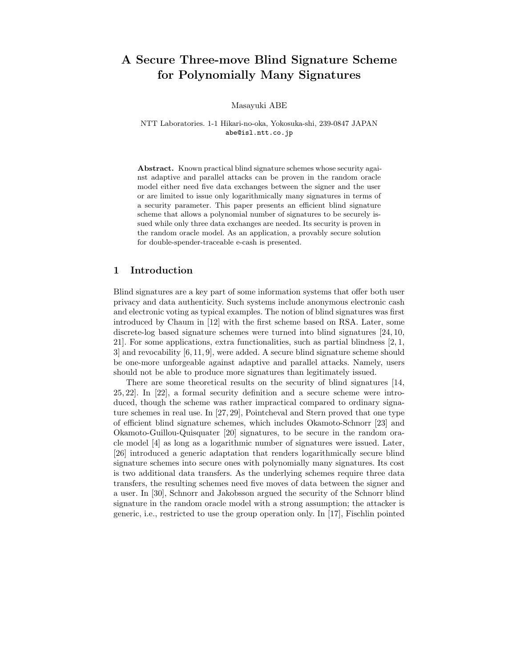# A Secure Three-move Blind Signature Scheme for Polynomially Many Signatures

Masayuki ABE

NTT Laboratories. 1-1 Hikari-no-oka, Yokosuka-shi, 239-0847 JAPAN abe@isl.ntt.co.jp

Abstract. Known practical blind signature schemes whose security against adaptive and parallel attacks can be proven in the random oracle model either need five data exchanges between the signer and the user or are limited to issue only logarithmically many signatures in terms of a security parameter. This paper presents an efficient blind signature scheme that allows a polynomial number of signatures to be securely issued while only three data exchanges are needed. Its security is proven in the random oracle model. As an application, a provably secure solution for double-spender-traceable e-cash is presented.

## 1 Introduction

Blind signatures are a key part of some information systems that offer both user privacy and data authenticity. Such systems include anonymous electronic cash and electronic voting as typical examples. The notion of blind signatures was first introduced by Chaum in [12] with the first scheme based on RSA. Later, some discrete-log based signature schemes were turned into blind signatures [24, 10, 21]. For some applications, extra functionalities, such as partial blindness [2, 1, 3] and revocability [6, 11, 9], were added. A secure blind signature scheme should be one-more unforgeable against adaptive and parallel attacks. Namely, users should not be able to produce more signatures than legitimately issued.

There are some theoretical results on the security of blind signatures [14, 25, 22]. In [22], a formal security definition and a secure scheme were introduced, though the scheme was rather impractical compared to ordinary signature schemes in real use. In [27, 29], Pointcheval and Stern proved that one type of efficient blind signature schemes, which includes Okamoto-Schnorr [23] and Okamoto-Guillou-Quisquater [20] signatures, to be secure in the random oracle model [4] as long as a logarithmic number of signatures were issued. Later, [26] introduced a generic adaptation that renders logarithmically secure blind signature schemes into secure ones with polynomially many signatures. Its cost is two additional data transfers. As the underlying schemes require three data transfers, the resulting schemes need five moves of data between the signer and a user. In [30], Schnorr and Jakobsson argued the security of the Schnorr blind signature in the random oracle model with a strong assumption; the attacker is generic, i.e., restricted to use the group operation only. In [17], Fischlin pointed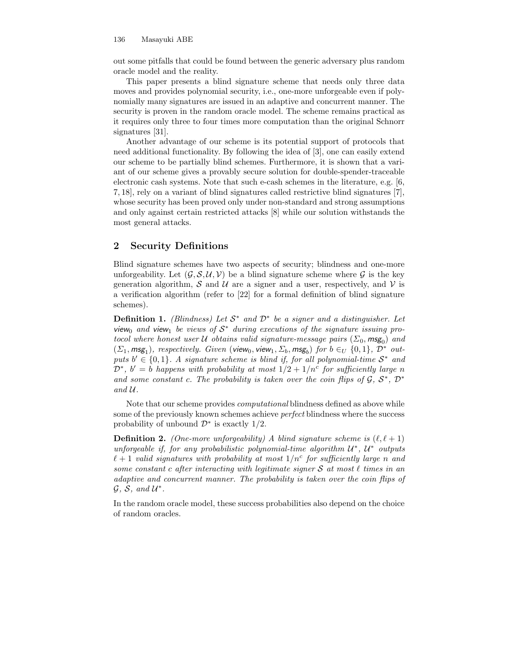out some pitfalls that could be found between the generic adversary plus random oracle model and the reality.

This paper presents a blind signature scheme that needs only three data moves and provides polynomial security, i.e., one-more unforgeable even if polynomially many signatures are issued in an adaptive and concurrent manner. The security is proven in the random oracle model. The scheme remains practical as it requires only three to four times more computation than the original Schnorr signatures [31].

Another advantage of our scheme is its potential support of protocols that need additional functionality. By following the idea of [3], one can easily extend our scheme to be partially blind schemes. Furthermore, it is shown that a variant of our scheme gives a provably secure solution for double-spender-traceable electronic cash systems. Note that such e-cash schemes in the literature, e.g. [6, 7, 18], rely on a variant of blind signatures called restrictive blind signatures [7], whose security has been proved only under non-standard and strong assumptions and only against certain restricted attacks [8] while our solution withstands the most general attacks.

## 2 Security Definitions

Blind signature schemes have two aspects of security; blindness and one-more unforgeability. Let  $(\mathcal{G}, \mathcal{S}, \mathcal{U}, \mathcal{V})$  be a blind signature scheme where  $\mathcal{G}$  is the key generation algorithm, S and U are a signer and a user, respectively, and V is a verification algorithm (refer to [22] for a formal definition of blind signature schemes).

**Definition 1.** (Blindness) Let  $S^*$  and  $D^*$  be a signer and a distinguisher. Let view<sub>0</sub> and view<sub>1</sub> be views of  $S^*$  during executions of the signature issuing protocol where honest user  $\mathcal U$  obtains valid signature-message pairs  $(\Sigma_0, \mathsf{msg}_0)$  and  $(\Sigma_1, \text{msg}_1)$ , respectively. Given (view<sub>0</sub>, view<sub>1</sub>,  $\Sigma_b$ , msg<sub>b</sub>) for  $b \in_U \{0,1\}$ ,  $\mathcal{D}^*$  outputs  $b' \in \{0,1\}$ . A signature scheme is blind if, for all polynomial-time  $S^*$  and  $\mathcal{D}^*, b' = b$  happens with probability at most  $1/2 + 1/n^c$  for sufficiently large n and some constant c. The probability is taken over the coin flips of  $\mathcal{G}, \mathcal{S}^*, \mathcal{D}^*$ and U.

Note that our scheme provides computational blindness defined as above while some of the previously known schemes achieve perfect blindness where the success probability of unbound  $\mathcal{D}^*$  is exactly 1/2.

**Definition 2.** (One-more unforgeability) A blind signature scheme is  $(\ell, \ell + 1)$ unforgeable if, for any probabilistic polynomial-time algorithm  $\mathcal{U}^*, \mathcal{U}^*$  outputs  $\ell + 1$  valid signatures with probability at most  $1/n<sup>c</sup>$  for sufficiently large n and some constant c after interacting with legitimate signer S at most  $\ell$  times in an adaptive and concurrent manner. The probability is taken over the coin flips of  $\mathcal{G}, \mathcal{S}, \text{ and } \mathcal{U}^*$ .

In the random oracle model, these success probabilities also depend on the choice of random oracles.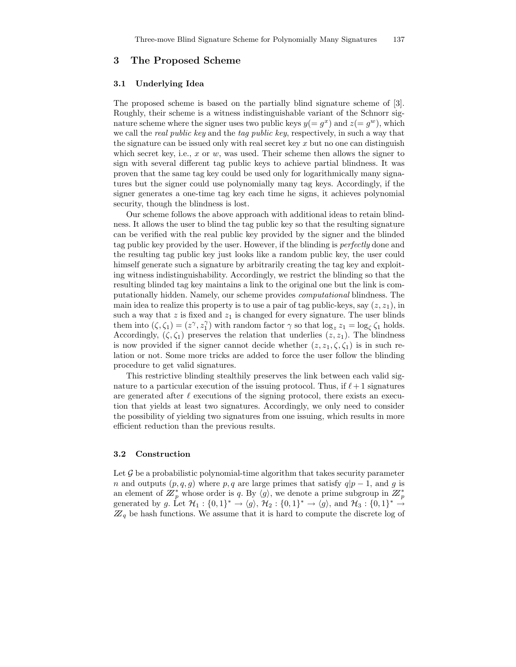## 3 The Proposed Scheme

#### 3.1 Underlying Idea

The proposed scheme is based on the partially blind signature scheme of [3]. Roughly, their scheme is a witness indistinguishable variant of the Schnorr signature scheme where the signer uses two public keys  $y(=g^x)$  and  $z(=g^w)$ , which we call the *real public key* and the *tag public key*, respectively, in such a way that the signature can be issued only with real secret key  $x$  but no one can distinguish which secret key, i.e.,  $x$  or  $w$ , was used. Their scheme then allows the signer to sign with several different tag public keys to achieve partial blindness. It was proven that the same tag key could be used only for logarithmically many signatures but the signer could use polynomially many tag keys. Accordingly, if the signer generates a one-time tag key each time he signs, it achieves polynomial security, though the blindness is lost.

Our scheme follows the above approach with additional ideas to retain blindness. It allows the user to blind the tag public key so that the resulting signature can be verified with the real public key provided by the signer and the blinded tag public key provided by the user. However, if the blinding is perfectly done and the resulting tag public key just looks like a random public key, the user could himself generate such a signature by arbitrarily creating the tag key and exploiting witness indistinguishability. Accordingly, we restrict the blinding so that the resulting blinded tag key maintains a link to the original one but the link is computationally hidden. Namely, our scheme provides computational blindness. The main idea to realize this property is to use a pair of tag public-keys, say  $(z, z<sub>1</sub>)$ , in such a way that  $z$  is fixed and  $z_1$  is changed for every signature. The user blinds them into  $(\zeta, \zeta_1) = (z^{\gamma}, z_1^{\gamma})$  with random factor  $\gamma$  so that  $\log_z z_1 = \log_{\zeta} \zeta_1$  holds. Accordingly,  $(\zeta, \zeta_1)$  preserves the relation that underlies  $(z, z_1)$ . The blindness is now provided if the signer cannot decide whether  $(z, z_1, \zeta, \zeta_1)$  is in such relation or not. Some more tricks are added to force the user follow the blinding procedure to get valid signatures.

This restrictive blinding stealthily preserves the link between each valid signature to a particular execution of the issuing protocol. Thus, if  $\ell+1$  signatures are generated after  $\ell$  executions of the signing protocol, there exists an execution that yields at least two signatures. Accordingly, we only need to consider the possibility of yielding two signatures from one issuing, which results in more efficient reduction than the previous results.

#### 3.2 Construction

Let  $\mathcal G$  be a probabilistic polynomial-time algorithm that takes security parameter n and outputs  $(p, q, g)$  where p, q are large primes that satisfy  $q|p-1$ , and g is an element of  $\mathbb{Z}_p^*$  whose order is q. By  $\langle g \rangle$ , we denote a prime subgroup in  $\mathbb{Z}_p^*$ generated by g. Let  $\mathcal{H}_1: \{0,1\}^* \to \langle g \rangle$ ,  $\mathcal{H}_2: \{0,1\}^* \to \langle g \rangle$ , and  $\mathcal{H}_3: \{0,1\}^* \to$  $\mathbb{Z}_q$  be hash functions. We assume that it is hard to compute the discrete log of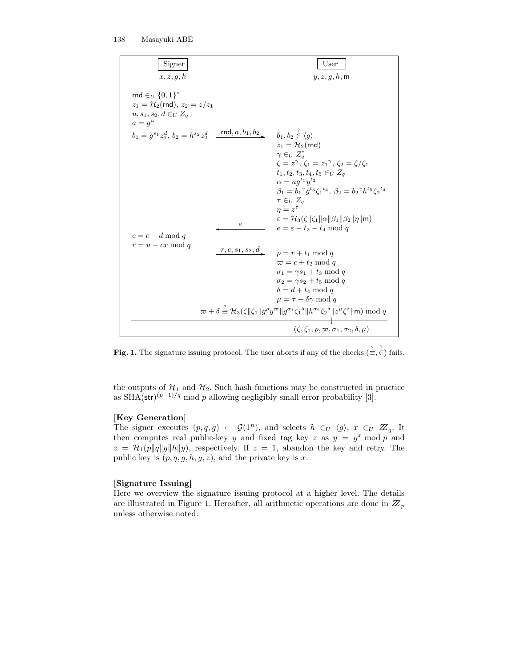| Signer                                                                                                 |            | User                                                                                                                                                                                                                                                                                                                                                                                                                                                                                             |
|--------------------------------------------------------------------------------------------------------|------------|--------------------------------------------------------------------------------------------------------------------------------------------------------------------------------------------------------------------------------------------------------------------------------------------------------------------------------------------------------------------------------------------------------------------------------------------------------------------------------------------------|
| x, z, g, h                                                                                             |            | $y,z,g,h,\mathsf{m}$                                                                                                                                                                                                                                                                                                                                                                                                                                                                             |
| rnd $\in_U \{0,1\}^*$<br>$z_1 = H_2$ (rnd), $z_2 = z/z_1$<br>$u, s_1, s_2, d \in U$ $Z_a$<br>$a = q^u$ |            |                                                                                                                                                                                                                                                                                                                                                                                                                                                                                                  |
| $b_1 = q^{s_1} z_1^d$ , $b_2 = h^{s_2} z_2^d$ rnd, $a, b_1, b_2$ , $b_1, b_2 \in \langle q \rangle$    |            |                                                                                                                                                                                                                                                                                                                                                                                                                                                                                                  |
| $c = e - d \mod q$                                                                                     | $\epsilon$ | $z_1 = \mathcal{H}_2$ (rnd)<br>$\gamma \in U Z^*_a$<br>$\zeta = z^{\gamma}, \, \zeta_1 = z_1^{\gamma}, \, \zeta_2 = \zeta/\zeta_1$<br>$t_1, t_2, t_3, t_4, t_5 \in_U Z_a$<br>$\alpha = a q^{t_1} y^{t_2}$<br>$\beta_1 = b_1^{\gamma} g^{t_3} \zeta_1^{t_4}, \ \beta_2 = b_2^{\gamma} h^{t_5} \zeta_2^{t_4}$<br>$\tau \in_U Z_a$<br>$n=z^{\tau}$<br>$\varepsilon = \mathcal{H}_3(\zeta    \zeta_1    \alpha    \beta_1    \beta_2    \eta    \mathsf{m})$<br>$e = \varepsilon - t_2 - t_4 \mod q$ |
| $r = u - cx \mod q$                                                                                    |            | $\frac{r, c, s_1, s_2, d}{\rho}$ $\rho = r + t_1 \mod q$<br>$\varpi = c + t_2 \mod q$<br>$\sigma_1 = \gamma s_1 + t_3 \mod q$<br>$\sigma_2 = \gamma s_2 + t_5 \mod q$<br>$\delta = d + t_4 \mod q$<br>$\mu = \tau - \delta \gamma \mod q$<br>$\varpi + \delta \stackrel{\text{\tiny{\textit{i}}}}{=} \mathcal{H}_3(\zeta \ \zeta_1\  g^{\rho} y^{\varpi} \  g^{\sigma_1} \zeta_1^{\delta} \  h^{\sigma_2} \zeta_2^{\delta} \  z^{\mu} \zeta^{\delta} \  \mathbf{m}) \bmod q$                     |
|                                                                                                        |            | $(\zeta, \zeta_1, \rho, \varpi, \sigma_1, \sigma_2, \delta, \mu)$                                                                                                                                                                                                                                                                                                                                                                                                                                |

**Fig. 1.** The signature issuing protocol. The user aborts if any of the checks  $(\equiv, \stackrel{?}{\in}, \stackrel{?}{\in})$  fails.

the outputs of  $\mathcal{H}_1$  and  $\mathcal{H}_2$ . Such hash functions may be constructed in practice as SHA(str)<sup> $(p-1)/q$ </sup> mod p allowing negligibly small error probability [3].

### [Key Generation]

The signer executes  $(p, q, g) \leftarrow \mathcal{G}(1^n)$ , and selects  $h \in_U \langle g \rangle$ ,  $x \in_U \mathbb{Z}_q$ . It then computes real public-key y and fixed tag key z as  $y = g^x \mod p$  and  $z = \mathcal{H}_1(p||q||q||h||y)$ , respectively. If  $z = 1$ , abandon the key and retry. The public key is  $(p, q, g, h, y, z)$ , and the private key is x.

#### [Signature Issuing]

Here we overview the signature issuing protocol at a higher level. The details are illustrated in Figure 1. Hereafter, all arithmetic operations are done in  $\mathbb{Z}_p$ unless otherwise noted.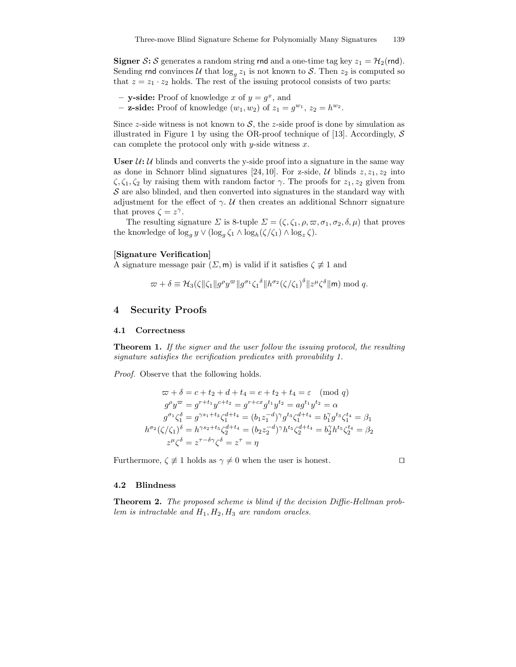**Signer S:** S generates a random string rnd and a one-time tag key  $z_1 = H_2(rnd)$ . Sending rnd convinces U that  $\log_g z_1$  is not known to S. Then  $z_2$  is computed so that  $z = z_1 \cdot z_2$  holds. The rest of the issuing protocol consists of two parts:

- y-side: Proof of knowledge x of  $y = g^x$ , and
- **z-side:** Proof of knowledge  $(w_1, w_2)$  of  $z_1 = g^{w_1}, z_2 = h^{w_2}$ .

Since z-side witness is not known to  $S$ , the z-side proof is done by simulation as illustrated in Figure 1 by using the OR-proof technique of [13]. Accordingly,  $S$ can complete the protocol only with y-side witness  $x$ .

User  $U: U$  blinds and converts the y-side proof into a signature in the same way as done in Schnorr blind signatures [24, 10]. For z-side,  $\mathcal U$  blinds  $z, z_1, z_2$  into  $\zeta, \zeta_1, \zeta_2$  by raising them with random factor  $\gamma$ . The proofs for  $z_1, z_2$  given from  $S$  are also blinded, and then converted into signatures in the standard way with adjustment for the effect of  $\gamma$ . U then creates an additional Schnorr signature that proves  $\zeta = z^{\gamma}$ .

The resulting signature  $\Sigma$  is 8-tuple  $\Sigma = (\zeta, \zeta_1, \rho, \varpi, \sigma_1, \sigma_2, \delta, \mu)$  that proves the knowledge of  $\log_g y \vee (\log_g \zeta_1 \wedge \log_h(\zeta/\zeta_1) \wedge \log_g \zeta).$ 

#### [Signature Verification]

A signature message pair  $(\Sigma, \mathsf{m})$  is valid if it satisfies  $\zeta \not\equiv 1$  and

$$
\varpi + \delta \equiv \mathcal{H}_3(\zeta \|\zeta_1\| g^{\rho} y^{\varpi} \| g^{\sigma_1} \zeta_1^{\delta} \| h^{\sigma_2} (\zeta/\zeta_1)^{\delta} \| z^{\mu} \zeta^{\delta} \| \mathsf{m}) \bmod q.
$$

# 4 Security Proofs

#### 4.1 Correctness

**Theorem 1.** If the signer and the user follow the issuing protocol, the resulting signature satisfies the verification predicates with provability 1.

Proof. Observe that the following holds.

$$
\begin{aligned}\n\varpi + \delta &= c + t_2 + d + t_4 = e + t_2 + t_4 = \varepsilon \pmod{q} \\
g^{\rho} y^{\varpi} &= g^{r+t_1} y^{c+t_2} = g^{r+cx} g^{t_1} y^{t_2} = a g^{t_1} y^{t_2} = \alpha \\
g^{\sigma_1} \zeta_1^{\delta} &= g^{\gamma s_1 + t_3} \zeta_1^{d+t_4} = (b_1 z_1^{-d})^{\gamma} g^{t_3} \zeta_1^{d+t_4} = b_1^{\gamma} g^{t_3} \zeta_1^{t_4} = \beta_1 \\
h^{\sigma_2} (\zeta/\zeta_1)^{\delta} &= h^{\gamma s_2 + t_5} \zeta_2^{d+t_4} = (b_2 z_2^{-d})^{\gamma} h^{t_5} \zeta_2^{d+t_4} = b_2^{\gamma} h^{t_5} \zeta_2^{t_4} = \beta_2 \\
z^{\mu} \zeta^{\delta} &= z^{\tau - \delta \gamma} \zeta^{\delta} = z^{\tau} = \eta\n\end{aligned}
$$

Furthermore,  $\zeta \neq 1$  holds as  $\gamma \neq 0$  when the user is honest.  $\square$ 

#### 4.2 Blindness

Theorem 2. The proposed scheme is blind if the decision Diffie-Hellman problem is intractable and  $H_1, H_2, H_3$  are random oracles.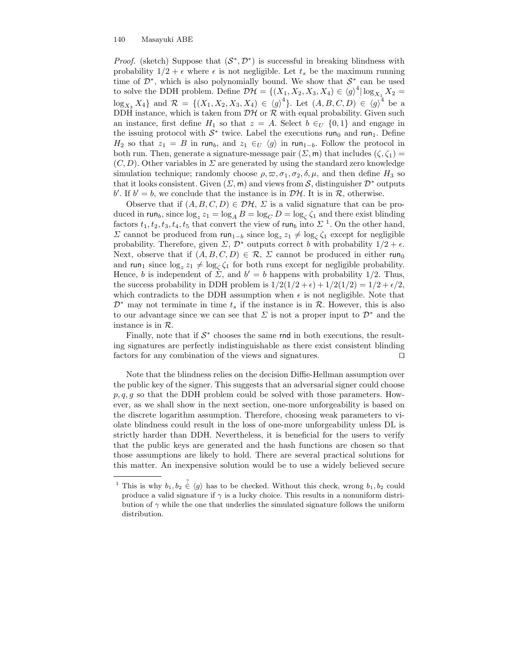#### 140 Masayuki ABE

*Proof.* (sketch) Suppose that  $(S^*, \mathcal{D}^*)$  is successful in breaking blindness with probability  $1/2 + \epsilon$  where  $\epsilon$  is not negligible. Let  $t_s$  be the maximum running time of  $\mathcal{D}^*$ , which is also polynomially bound. We show that  $\mathcal{S}^*$  can be used to solve the DDH problem. Define  $\mathcal{DH} = \{(X_1, X_2, X_3, X_4) \in \langle g \rangle^4 | \log_{X_1} X_2 =$  $\log_{X_3} X_4$ } and  $\mathcal{R} = \{(X_1, X_2, X_3, X_4) \in (g)^4\}$ . Let  $(A, B, C, D) \in (g)^4$  be a DDH instance, which is taken from  $\mathcal{D}\mathcal{H}$  or  $\mathcal{R}$  with equal probability. Given such an instance, first define  $H_1$  so that  $z = A$ . Select  $b \in U \{0,1\}$  and engage in the issuing protocol with  $S^*$  twice. Label the executions run<sub>0</sub> and run<sub>1</sub>. Define  $H_2$  so that  $z_1 = B$  in run<sub>b</sub>, and  $z_1 \in U \langle g \rangle$  in run<sub>1-b</sub>. Follow the protocol in both run. Then, generate a signature-message pair  $(\Sigma, \mathsf{m})$  that includes  $(\zeta, \zeta_1)$  =  $(C, D)$ . Other variables in  $\Sigma$  are generated by using the standard zero knowledge simulation technique; randomly choose  $\rho, \varpi, \sigma_1, \sigma_2, \delta, \mu$ , and then define  $H_3$  so that it looks consistent. Given  $(\Sigma, \mathsf{m})$  and views from S, distinguisher  $\mathcal{D}^*$  outputs b'. If  $b' = b$ , we conclude that the instance is in  $\mathcal{DH}$ . It is in  $\mathcal{R}$ , otherwise.

Observe that if  $(A, B, C, D) \in \mathcal{DH}, \Sigma$  is a valid signature that can be produced in run<sub>b</sub>, since  $\log_z z_1 = \log_A B = \log_C D = \log_{\zeta} \zeta_1$  and there exist blinding factors  $t_1, t_2, t_3, t_4, t_5$  that convert the view of run<sub>b</sub> into  $\Sigma$ <sup>1</sup>. On the other hand, Σ cannot be produced from  $run_{1-b}$  since  $log_z z_1 ≠ log_\zeta \zeta_1$  except for negligible probability. Therefore, given  $\Sigma$ ,  $\mathcal{D}^*$  outputs correct b with probability  $1/2 + \epsilon$ . Next, observe that if  $(A, B, C, D) \in \mathcal{R}$ ,  $\Sigma$  cannot be produced in either run<sub>0</sub> and run<sub>1</sub> since  $\log_z z_1 \neq \log_\zeta \zeta_1$  for both runs except for negligible probability. Hence, b is independent of  $\dot{\Sigma}$ , and  $b' = b$  happens with probability 1/2. Thus, the success probability in DDH problem is  $1/2(1/2 + \epsilon) + 1/2(1/2) = 1/2 + \epsilon/2$ , which contradicts to the DDH assumption when  $\epsilon$  is not negligible. Note that  $\mathcal{D}^*$  may not terminate in time  $t_s$  if the instance is in  $\mathcal{R}$ . However, this is also to our advantage since we can see that  $\Sigma$  is not a proper input to  $\mathcal{D}^*$  and the instance is in R.

Finally, note that if  $S^*$  chooses the same rnd in both executions, the resulting signatures are perfectly indistinguishable as there exist consistent blinding factors for any combination of the views and signatures.  $\Box$ 

Note that the blindness relies on the decision Diffie-Hellman assumption over the public key of the signer. This suggests that an adversarial signer could choose  $p, q, q$  so that the DDH problem could be solved with those parameters. However, as we shall show in the next section, one-more unforgeability is based on the discrete logarithm assumption. Therefore, choosing weak parameters to violate blindness could result in the loss of one-more unforgeability unless DL is strictly harder than DDH. Nevertheless, it is beneficial for the users to verify that the public keys are generated and the hash functions are chosen so that those assumptions are likely to hold. There are several practical solutions for this matter. An inexpensive solution would be to use a widely believed secure

<sup>&</sup>lt;sup>1</sup> This is why  $b_1, b_2 \in (g)$  has to be checked. Without this check, wrong  $b_1, b_2$  could produce a valid signature if  $\gamma$  is a lucky choice. This results in a nonuniform distribution of  $\gamma$  while the one that underlies the simulated signature follows the uniform distribution.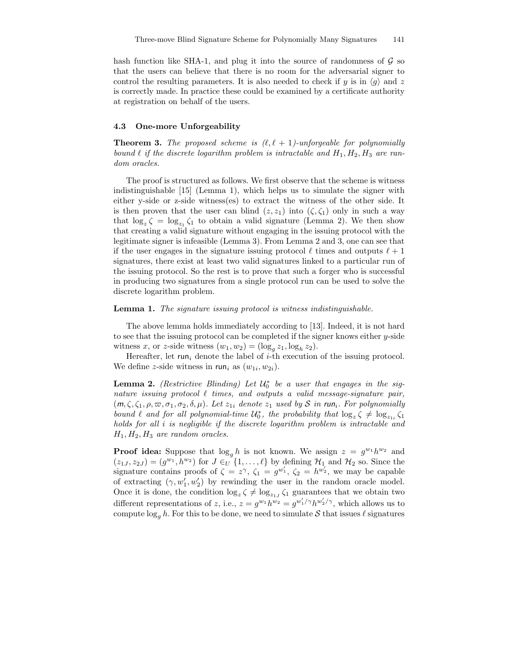hash function like SHA-1, and plug it into the source of randomness of  $\mathcal G$  so that the users can believe that there is no room for the adversarial signer to control the resulting parameters. It is also needed to check if y is in  $\langle q \rangle$  and z is correctly made. In practice these could be examined by a certificate authority at registration on behalf of the users.

#### 4.3 One-more Unforgeability

**Theorem 3.** The proposed scheme is  $(\ell, \ell + 1)$ -unforgeable for polynomially bound  $\ell$  if the discrete logarithm problem is intractable and  $H_1, H_2, H_3$  are random oracles.

The proof is structured as follows. We first observe that the scheme is witness indistinguishable [15] (Lemma 1), which helps us to simulate the signer with either y-side or z-side witness(es) to extract the witness of the other side. It is then proven that the user can blind  $(z, z_1)$  into  $(\zeta, \zeta_1)$  only in such a way that  $\log_z \zeta = \log_{z_1} \zeta_1$  to obtain a valid signature (Lemma 2). We then show that creating a valid signature without engaging in the issuing protocol with the legitimate signer is infeasible (Lemma 3). From Lemma 2 and 3, one can see that if the user engages in the signature issuing protocol  $\ell$  times and outputs  $\ell + 1$ signatures, there exist at least two valid signatures linked to a particular run of the issuing protocol. So the rest is to prove that such a forger who is successful in producing two signatures from a single protocol run can be used to solve the discrete logarithm problem.

#### Lemma 1. The signature issuing protocol is witness indistinguishable.

The above lemma holds immediately according to [13]. Indeed, it is not hard to see that the issuing protocol can be completed if the signer knows either y-side witness x, or z-side witness  $(w_1, w_2) = (\log_g z_1, \log_h z_2)$ .

Hereafter, let run<sub>i</sub> denote the label of  $i$ -th execution of the issuing protocol. We define z-side witness in  $run_i$  as  $(w_{1i}, w_{2i})$ .

**Lemma 2.** (Restrictive Blinding) Let  $\mathcal{U}_0^*$  be a user that engages in the signature issuing protocol  $\ell$  times, and outputs a valid message-signature pair,  $(m, \zeta, \zeta_1, \rho, \varpi, \sigma_1, \sigma_2, \delta, \mu)$ . Let  $z_{1i}$  denote  $z_1$  used by S in run<sub>i</sub>. For polynomially bound  $\ell$  and for all polynomial-time  $\mathcal{U}_0^*$ , the probability that  $\log_z \zeta \neq \log_{z_{1i}} \zeta_1$ holds for all i is negligible if the discrete logarithm problem is intractable and  $H_1, H_2, H_3$  are random oracles.

**Proof idea:** Suppose that  $\log_g h$  is not known. We assign  $z = g^{w_1} h^{w_2}$  and  $(z_{1J}, z_{2J}) = (g^{w_1}, h^{w_2})$  for  $J \in U$  {1, ...,  $\ell$ } by defining  $\mathcal{H}_1$  and  $\mathcal{H}_2$  so. Since the signature contains proofs of  $\zeta = z^{\gamma}$ ,  $\zeta_1 = g^{w'_1}$ ,  $\zeta_2 = h^{w'_2}$ , we may be capable of extracting  $(\gamma, w'_1, w'_2)$  by rewinding the user in the random oracle model. Once it is done, the condition  $\log_z \zeta \neq \log_{z_{1J}} \zeta_1$  guarantees that we obtain two different representations of z, i.e.,  $z = g^{w_1}h^{w_2} = g^{w'_1/\gamma}h^{w'_2/\gamma}$ , which allows us to compute  $\log_q h$ . For this to be done, we need to simulate S that issues  $\ell$  signatures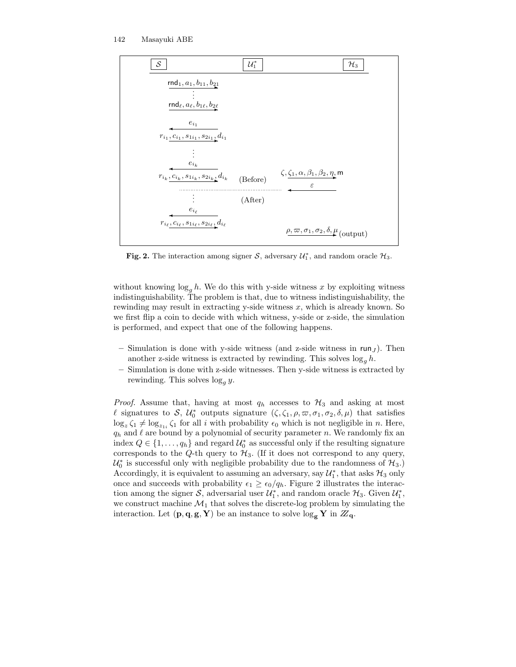

Fig. 2. The interaction among signer S, adversary  $\mathcal{U}_1^*$ , and random oracle  $\mathcal{H}_3$ .

without knowing  $\log_a h$ . We do this with y-side witness x by exploiting witness indistinguishability. The problem is that, due to witness indistinguishability, the rewinding may result in extracting y-side witness  $x$ , which is already known. So we first flip a coin to decide with which witness, y-side or z-side, the simulation is performed, and expect that one of the following happens.

- Simulation is done with y-side witness (and z-side witness in  $run_J$ ). Then another z-side witness is extracted by rewinding. This solves  $\log_a h$ .
- Simulation is done with z-side witnesses. Then y-side witness is extracted by rewinding. This solves  $\log_a y$ .

*Proof.* Assume that, having at most  $q_h$  accesses to  $\mathcal{H}_3$  and asking at most  $\ell$  signatures to  $\mathcal{S}, \mathcal{U}_0^*$  outputs signature  $(\zeta, \zeta_1, \rho, \varpi, \sigma_1, \sigma_2, \delta, \mu)$  that satisfies  $\log_z \zeta_1 \neq \log_{z_{1i}} \zeta_1$  for all i with probability  $\epsilon_0$  which is not negligible in n. Here,  $q_h$  and  $\ell$  are bound by a polynomial of security parameter n. We randomly fix an index  $Q \in \{1, \ldots, q_h\}$  and regard  $\mathcal{U}_0^*$  as successful only if the resulting signature corresponds to the  $Q$ -th query to  $H_3$ . (If it does not correspond to any query,  $\mathcal{U}_0^*$  is successful only with negligible probability due to the randomness of  $\mathcal{H}_3$ .) Accordingly, it is equivalent to assuming an adversary, say  $\mathcal{U}_1^*$ , that asks  $\mathcal{H}_3$  only once and succeeds with probability  $\epsilon_1 \geq \epsilon_0/q_h$ . Figure 2 illustrates the interaction among the signer  $S$ , adversarial user  $\mathcal{U}_1^*$ , and random oracle  $\mathcal{H}_3$ . Given  $\mathcal{U}_1^*$ , we construct machine  $\mathcal{M}_1$  that solves the discrete-log problem by simulating the interaction. Let  $(\mathbf{p}, \mathbf{q}, \mathbf{g}, \mathbf{Y})$  be an instance to solve  $\log_{\mathbf{g}} \mathbf{Y}$  in  $\mathbb{Z}_{q}$ .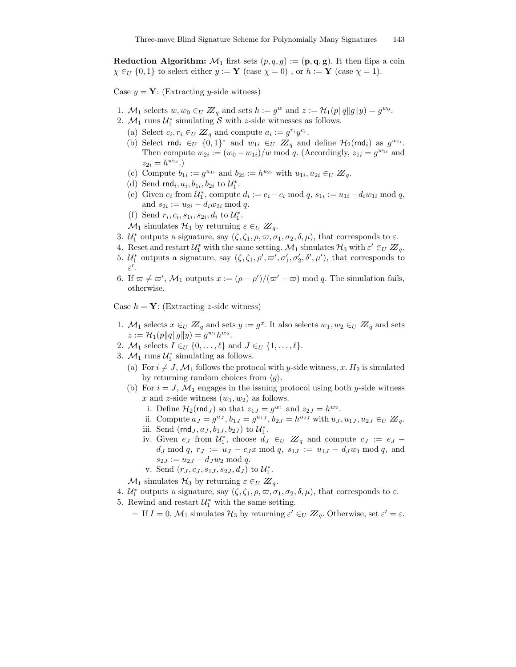**Reduction Algorithm:**  $M_1$  first sets  $(p, q, g) := (\mathbf{p}, \mathbf{q}, \mathbf{g})$ . It then flips a coin  $\chi \in_U \{0,1\}$  to select either  $y := Y$  (case  $\chi = 0$ ), or  $h := Y$  (case  $\chi = 1$ ).

Case  $y = Y$ : (Extracting y-side witness)

- 1. M<sub>1</sub> selects  $w, w_0 \in U \mathbb{Z}_q$  and sets  $h := g^w$  and  $z := \mathcal{H}_1(p||q||g||y) = g^{w_0}$ .
- 2.  $\mathcal{M}_1$  runs  $\mathcal{U}_1^*$  simulating  $\mathcal S$  with z-side witnesses as follows.
	- (a) Select  $c_i, r_i \in_U \mathbb{Z}_q$  and compute  $a_i := g^{r_i} y^{c_i}$ .
	- (b) Select rnd<sub>i</sub>  $\in_U \{0,1\}^*$  and  $w_{1i} \in_U \mathbb{Z}_q$  and define  $\mathcal{H}_2(\text{rnd}_i)$  as  $g^{w_{1i}}$ . Then compute  $w_{2i} := (w_0 - w_{1i})/w \mod q$ . (Accordingly,  $z_{1i} = g^{w_{1i}}$  and  $z_{2i} = h^{w_{2i}}.$
	- (c) Compute  $b_{1i} := g^{u_{1i}}$  and  $b_{2i} := h^{u_{2i}}$  with  $u_{1i}, u_{2i} \in U \mathbb{Z}_q$ .
	- (d) Send  $\text{rnd}_i, a_i, b_{1i}, b_{2i}$  to  $\mathcal{U}_1^*$ .
	- (e) Given  $e_i$  from  $\mathcal{U}_1^*$ , compute  $d_i := e_i c_i \mod q$ ,  $s_{1i} := u_{1i} d_i w_{1i} \mod q$ , and  $s_{2i} := u_{2i} - d_i w_{2i} \bmod q$ .
	- (f) Send  $r_i, c_i, s_{1i}, s_{2i}, d_i$  to  $\mathcal{U}_1^*$ .
	- $\mathcal{M}_1$  simulates  $\mathcal{H}_3$  by returning  $\varepsilon \in_U \mathbb{Z}_q$ .
- 3.  $\mathcal{U}_1^*$  outputs a signature, say  $(\zeta, \zeta_1, \rho, \varpi, \sigma_1, \sigma_2, \delta, \mu)$ , that corresponds to  $\varepsilon$ .
- 4. Reset and restart  $\mathcal{U}_1^*$  with the same setting.  $\mathcal{M}_1$  simulates  $\mathcal{H}_3$  with  $\varepsilon' \in_U \mathbb{Z}_q$ . 5.  $\mathcal{U}_1^*$  outputs a signature, say  $(\zeta, \zeta_1, \rho', \varpi', \sigma_1', \sigma_2', \delta', \mu')$ , that corresponds to  $\varepsilon'.$
- 6. If  $\omega \neq \omega'$ ,  $\mathcal{M}_1$  outputs  $x := (\rho \rho')/(\omega' \omega) \mod q$ . The simulation fails, otherwise.

Case  $h = Y$ : (Extracting z-side witness)

- 1.  $M_1$  selects  $x \in U \mathbb{Z}_q$  and sets  $y := g^x$ . It also selects  $w_1, w_2 \in U \mathbb{Z}_q$  and sets  $z := \mathcal{H}_1(p||q||g||y) = g^{w_1}h^{w_2}.$
- 2.  $\mathcal{M}_1$  selects  $I \in_U \{0, \ldots, \ell\}$  and  $J \in_U \{1, \ldots, \ell\}.$
- 3.  $M_1$  runs  $U_1^*$  simulating as follows.
	- (a) For  $i \neq J$ ,  $\mathcal{M}_1$  follows the protocol with y-side witness, x.  $H_2$  is simulated by returning random choices from  $\langle g \rangle$ .
	- (b) For  $i = J, M_1$  engages in the issuing protocol using both y-side witness x and z-side witness  $(w_1, w_2)$  as follows.
		- i. Define  $\mathcal{H}_2(\text{rnd}_J)$  so that  $z_{1J} = g^{w_1}$  and  $z_{2J} = h^{w_2}$ .
		- ii. Compute  $a_J = g^{u_J}, b_{1J} = g^{u_{1J}}, b_{2J} = h^{u_{2J}}$  with  $u_J, u_{1J}, u_{2J} \in_U \mathbb{Z}_q$ .
		- iii. Send  $(\text{rnd}_J, a_J, b_{1J}, b_{2J})$  to  $\mathcal{U}_1^*$ .
		- iv. Given  $e_J$  from  $\mathcal{U}_1^*$ , choose  $d_J \in_U \mathbb{Z}_q$  and compute  $c_J := e_J$  $d_J \bmod q, r_J := u_J - c_J x \bmod q, s_{1J} := u_{1J} - d_J w_1 \bmod q, \text{ and }$  $s_{2J} := u_{2J} - d_J w_2 \mod q.$

v. Send  $(r_J, c_J, s_{1J}, s_{2J}, d_J)$  to  $\mathcal{U}_1^*$ .

- $\mathcal{M}_1$  simulates  $\mathcal{H}_3$  by returning  $\varepsilon \in_U \mathbb{Z}_q$ .
- 4.  $\mathcal{U}_1^*$  outputs a signature, say  $(\zeta, \zeta_1, \rho, \varpi, \sigma_1, \sigma_2, \delta, \mu)$ , that corresponds to  $\varepsilon$ .
- 5. Rewind and restart  $\mathcal{U}_1^*$  with the same setting.
	- If  $I = 0$ ,  $\mathcal{M}_1$  simulates  $\mathcal{H}_3$  by returning  $\varepsilon' \in_U \mathbb{Z}_q$ . Otherwise, set  $\varepsilon' = \varepsilon$ .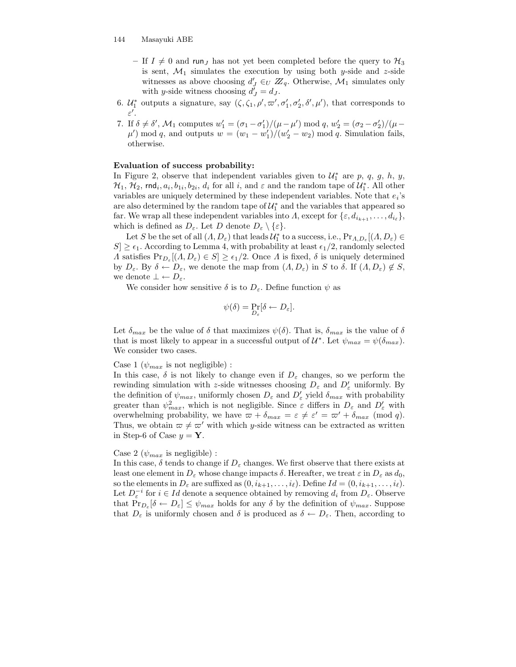- If  $I \neq 0$  and run<sub>J</sub> has not yet been completed before the query to  $\mathcal{H}_3$ is sent,  $\mathcal{M}_1$  simulates the execution by using both y-side and z-side witnesses as above choosing  $d'_{J} \in_{U} \mathbb{Z}_{q}$ . Otherwise,  $\mathcal{M}_{1}$  simulates only with y-side witness choosing  $d'_J = d_J$ .
- 6.  $\mathcal{U}_1^*$  outputs a signature, say  $(\zeta, \zeta_1, \rho', \varpi', \sigma_1', \sigma_2', \delta', \mu')$ , that corresponds to ε  $\prime$ .
- 7. If  $\delta \neq \delta'$ ,  $\mathcal{M}_1$  computes  $w'_1 = (\sigma_1 \sigma'_1)/(\mu \mu') \mod q$ ,  $w'_2 = (\sigma_2 \sigma'_2)/(\mu \mu')$  $\mu'$ ) mod q, and outputs  $w = (w_1 - w_1')/(w_2' - w_2) \mod q$ . Simulation fails, otherwise.

#### Evaluation of success probability:

In Figure 2, observe that independent variables given to  $\mathcal{U}_1^*$  are p, q, g, h, y,  $\mathcal{H}_1$ ,  $\mathcal{H}_2$ , rnd<sub>i</sub>,  $a_i$ ,  $b_{1i}$ ,  $b_{2i}$ ,  $d_i$  for all i, and  $\varepsilon$  and the random tape of  $\mathcal{U}_1^*$ . All other variables are uniquely determined by these independent variables. Note that  $e_i$ 's are also determined by the random tape of  $\mathcal{U}_1^*$  and the variables that appeared so far. We wrap all these independent variables into  $\Lambda$ , except for  $\{\varepsilon, d_{i_{k+1}}, \ldots, d_{i_\ell}\},$ which is defined as  $D_{\varepsilon}$ . Let D denote  $D_{\varepsilon} \setminus {\varepsilon}$ .

Let S be the set of all  $(A, D_{\varepsilon})$  that leads  $\mathcal{U}_1^*$  to a success, i.e.,  $Pr_{A, D_{\varepsilon}}[(A, D_{\varepsilon}) \in$  $|S| \geq \epsilon_1$ . According to Lemma 4, with probability at least  $\epsilon_1/2$ , randomly selected  $\Lambda$  satisfies  $Pr_{D_{\varepsilon}}[(\Lambda, D_{\varepsilon}) \in S] \ge \epsilon_1/2$ . Once  $\Lambda$  is fixed,  $\delta$  is uniquely determined by  $D_{\varepsilon}$ . By  $\delta \leftarrow D_{\varepsilon}$ , we denote the map from  $(A, D_{\varepsilon})$  in S to  $\delta$ . If  $(A, D_{\varepsilon}) \notin S$ , we denote  $\bot \leftarrow D_{\varepsilon}$ .

We consider how sensitive  $\delta$  is to  $D_{\varepsilon}$ . Define function  $\psi$  as

$$
\psi(\delta) = \Pr_{D_{\varepsilon}}[\delta \leftarrow D_{\varepsilon}].
$$

Let  $\delta_{max}$  be the value of  $\delta$  that maximizes  $\psi(\delta)$ . That is,  $\delta_{max}$  is the value of  $\delta$ that is most likely to appear in a successful output of  $\mathcal{U}^*$ . Let  $\psi_{max} = \psi(\delta_{max})$ . We consider two cases.

#### Case 1 ( $\psi_{max}$  is not negligible) :

In this case,  $\delta$  is not likely to change even if  $D_{\varepsilon}$  changes, so we perform the rewinding simulation with z-side witnesses choosing  $D_{\varepsilon}$  and  $D'_{\varepsilon}$  uniformly. By the definition of  $\psi_{max}$ , uniformly chosen  $D_{\varepsilon}$  and  $D'_{\varepsilon}$  yield  $\delta_{max}$  with probability greater than  $\psi_{max}^2$ , which is not negligible. Since  $\varepsilon$  differs in  $D_{\varepsilon}$  and  $D'_{\varepsilon}$  with overwhelming probability, we have  $\varpi + \delta_{max} = \varepsilon \neq \varepsilon' = \varpi' + \delta_{max} \pmod{q}$ . Thus, we obtain  $\varpi \neq \varpi'$  with which y-side witness can be extracted as written in Step-6 of Case  $y = Y$ .

#### Case 2 ( $\psi_{max}$  is negligible) :

In this case,  $\delta$  tends to change if  $D_{\varepsilon}$  changes. We first observe that there exists at least one element in  $D_{\varepsilon}$  whose change impacts  $\delta$ . Hereafter, we treat  $\varepsilon$  in  $D_{\varepsilon}$  as  $d_0$ , so the elements in  $D_{\varepsilon}$  are suffixed as  $(0, i_{k+1}, \ldots, i_{\ell})$ . Define  $Id = (0, i_{k+1}, \ldots, i_{\ell})$ . Let  $D_{\varepsilon}^{-i}$  for  $i \in Id$  denote a sequence obtained by removing  $d_i$  from  $D_{\varepsilon}$ . Observe that  $Pr_{D_{\varepsilon}}[\delta \leftarrow D_{\varepsilon}] \leq \psi_{max}$  holds for any  $\delta$  by the definition of  $\psi_{max}$ . Suppose that  $D_{\varepsilon}$  is uniformly chosen and  $\delta$  is produced as  $\delta \leftarrow D_{\varepsilon}$ . Then, according to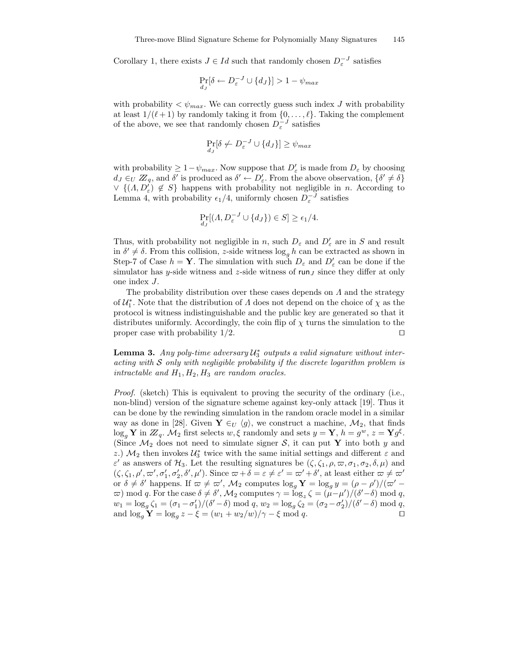Corollary 1, there exists  $J \in Id$  such that randomly chosen  $D_{\varepsilon}^{-J}$  satisfies

$$
\Pr_{d_J}[\delta \leftarrow D_{\varepsilon}^{-J} \cup \{d_J\}] > 1 - \psi_{max}
$$

with probability  $\langle \psi_{max}$ . We can correctly guess such index J with probability at least  $1/(\ell + 1)$  by randomly taking it from  $\{0, \ldots, \ell\}$ . Taking the complement of the above, we see that randomly chosen  $D_{\varepsilon}^{-J}$  satisfies

$$
\Pr_{d_J}[\delta \nleftrightarrow D_{\varepsilon}^{-J} \cup \{d_J\}] \ge \psi_{max}
$$

with probability  $\geq 1 - \psi_{max}$ . Now suppose that  $D'_{\varepsilon}$  is made from  $D_{\varepsilon}$  by choosing  $d_J \in_U \mathbb{Z}_q$ , and  $\delta'$  is produced as  $\delta' \leftarrow D'_\varepsilon$ . From the above observation,  $\{\delta' \neq \delta\}$  $\vee$  { $(\Lambda, D_{\varepsilon}') \notin S$ } happens with probability not negligible in *n*. According to Lemma 4, with probability  $\epsilon_1/4$ , uniformly chosen  $D_{\varepsilon}^{-J}$  satisfies

$$
\Pr_{d_J}[(\Lambda, D_{\varepsilon}^{-J} \cup \{d_J\}) \in S] \ge \epsilon_1/4.
$$

Thus, with probability not negligible in n, such  $D_{\varepsilon}$  and  $D'_{\varepsilon}$  are in S and result in  $\delta' \neq \delta$ . From this collision, z-side witness  $\log_g h$  can be extracted as shown in Step-7 of Case  $h = Y$ . The simulation with such  $D_{\varepsilon}$  and  $D'_{\varepsilon}$  can be done if the simulator has y-side witness and z-side witness of  $run_J$  since they differ at only one index J.

The probability distribution over these cases depends on  $\Lambda$  and the strategy of  $\mathcal{U}_1^*$ . Note that the distribution of  $\Lambda$  does not depend on the choice of  $\chi$  as the protocol is witness indistinguishable and the public key are generated so that it distributes uniformly. Accordingly, the coin flip of  $\chi$  turns the simulation to the proper case with probability  $1/2$ .

**Lemma 3.** Any poly-time adversary  $\mathcal{U}_3^*$  outputs a valid signature without interacting with  $S$  only with negligible probability if the discrete logarithm problem is intractable and  $H_1, H_2, H_3$  are random oracles.

Proof. (sketch) This is equivalent to proving the security of the ordinary (i.e., non-blind) version of the signature scheme against key-only attack [19]. Thus it can be done by the rewinding simulation in the random oracle model in a similar way as done in [28]. Given  $\mathbf{Y} \in_U \langle g \rangle$ , we construct a machine,  $\mathcal{M}_2$ , that finds  $\log_g \mathbf{Y}$  in  $\mathbb{Z}_q$ .  $\mathcal{M}_2$  first selects  $w, \xi$  randomly and sets  $y = \mathbf{Y}$ ,  $h = g^w$ ,  $z = \mathbf{Y} g^{\xi}$ . (Since  $\mathcal{M}_2$  does not need to simulate signer S, it can put Y into both y and z.)  $\mathcal{M}_2$  then invokes  $\mathcal{U}_3^*$  twice with the same initial settings and different  $\varepsilon$  and  $\varepsilon'$  as answers of  $\mathcal{H}_3$ . Let the resulting signatures be  $(\zeta, \zeta_1, \rho, \varpi, \sigma_1, \sigma_2, \delta, \mu)$  and  $(\zeta, \zeta_1, \rho', \varpi', \sigma_1', \sigma_2', \delta', \mu')$ . Since  $\varpi + \delta = \varepsilon \neq \varepsilon' = \varpi' + \delta'$ , at least either  $\varpi \neq \varpi'$ or  $\delta \neq \delta'$  happens. If  $\omega \neq \omega'$ ,  $\mathcal{M}_2$  computes  $\log_g Y = \log_g y = (\rho - \rho')/(\omega' - \sigma')$  $\varpi$ ) mod *q*. For the case δ ≠ δ', M<sub>2</sub> computes  $\gamma = \log_z \zeta = (\mu - \mu')/(\delta' - \delta) \mod q$ ,  $w_1 = \log_g \zeta_1 = (\sigma_1 - \sigma'_1)/(\delta' - \delta) \mod q, w_2 = \log_g \zeta_2 = (\sigma_2 - \sigma'_2)/(\delta' - \delta) \mod q,$ and  $\log_g \mathbf{Y} = \log_g z - \xi = (w_1 + w_2/w) / \gamma - \xi \mod q.$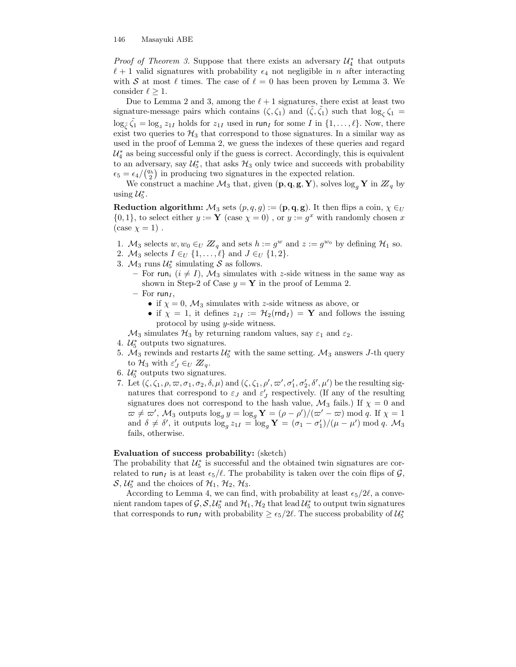*Proof of Theorem 3.* Suppose that there exists an adversary  $\mathcal{U}_4^*$  that outputs  $\ell + 1$  valid signatures with probability  $\epsilon_4$  not negligible in n after interacting with S at most  $\ell$  times. The case of  $\ell = 0$  has been proven by Lemma 3. We consider  $\ell \geq 1$ .

Due to Lemma 2 and 3, among the  $\ell + 1$  signatures, there exist at least two signature-message pairs which contains  $(\zeta, \zeta_1)$  and  $(\tilde{\zeta}, \tilde{\zeta}_1)$  such that  $\log_{\zeta} \zeta_1 =$  $\log_{\tilde{\zeta}} \tilde{\zeta}_1 = \log_z z_{1I}$  holds for  $z_{1I}$  used in run<sub>I</sub> for some I in  $\{1, \ldots, \ell\}$ . Now, there exist two queries to  $H_3$  that correspond to those signatures. In a similar way as used in the proof of Lemma 2, we guess the indexes of these queries and regard  $\mathcal{U}_4^*$  as being successful only if the guess is correct. Accordingly, this is equivalent to an adversary, say  $\mathcal{U}_5^*$ , that asks  $\mathcal{H}_3$  only twice and succeeds with probability  $\epsilon_5 = \epsilon_4 / \binom{q_h}{2}$  in producing two signatures in the expected relation.

We construct a machine  $\mathcal{M}_3$  that, given  $(\mathbf{p}, \mathbf{q}, \mathbf{g}, \mathbf{Y})$ , solves  $\log_q \mathbf{Y}$  in  $\mathbb{Z}_q$  by using  $\mathcal{U}_5^*$ .

**Reduction algorithm:**  $M_3$  sets  $(p, q, g) := (\mathbf{p}, \mathbf{q}, \mathbf{g})$ . It then flips a coin,  $\chi \in U$  $\{0,1\}$ , to select either  $y := \mathbf{Y}$  (case  $\chi = 0$ ), or  $y := g^x$  with randomly chosen x  $(\case \chi = 1)$ .

- 1.  $M_3$  selects  $w, w_0 \in U \mathbb{Z}_q$  and sets  $h := g^w$  and  $z := g^{w_0}$  by defining  $\mathcal{H}_1$  so.
- 2.  $\mathcal{M}_3$  selects  $I \in_U \{1, \ldots, \ell\}$  and  $J \in_U \{1, 2\}.$
- 3.  $M_3$  runs  $U_5^*$  simulating S as follows.
	- For run<sub>i</sub>  $(i \neq I)$ ,  $\mathcal{M}_3$  simulates with z-side witness in the same way as shown in Step-2 of Case  $y = Y$  in the proof of Lemma 2.
	- For run<sub> $I$ </sub>,
		- if  $\chi = 0$ ,  $\mathcal{M}_3$  simulates with z-side witness as above, or
		- if  $\chi = 1$ , it defines  $z_{1I} := \mathcal{H}_2(r \cdot d_I) = \mathbf{Y}$  and follows the issuing protocol by using y-side witness.

 $\mathcal{M}_3$  simulates  $\mathcal{H}_3$  by returning random values, say  $\varepsilon_1$  and  $\varepsilon_2$ .

- 4.  $\mathcal{U}_5^*$  outputs two signatures.
- 5.  $M_3$  rewinds and restarts  $\mathcal{U}_5^*$  with the same setting.  $M_3$  answers J-th query to  $\mathcal{H}_3$  with  $\varepsilon'_J \in_U \mathbb{Z}_q$ .
- 6.  $\mathcal{U}_5^*$  outputs two signatures.
- 7. Let  $(\zeta, \zeta_1, \rho, \varpi, \sigma_1, \sigma_2, \delta, \mu)$  and  $(\zeta, \zeta_1, \rho', \varpi', \sigma'_1, \sigma'_2, \delta', \mu')$  be the resulting signatures that correspond to  $\varepsilon_j$  and  $\varepsilon'_j$  respectively. (If any of the resulting signatures does not correspond to the hash value,  $\mathcal{M}_3$  fails.) If  $\chi = 0$  and  $\omega \neq \omega'$ ,  $\mathcal{M}_3$  outputs  $\log_g y = \log_g \mathbf{Y} = (\rho - \rho')/(\omega' - \omega) \bmod q$ . If  $\chi = 1$ and  $\delta \neq \delta'$ , it outputs  $\log_g z_{1I} = \log_g Y = (\sigma_1 - \sigma'_1)/(\mu - \mu') \bmod q$ .  $\mathcal{M}_3$ fails, otherwise.

#### Evaluation of success probability: (sketch)

The probability that  $\mathcal{U}_5^*$  is successful and the obtained twin signatures are correlated to run<sub>I</sub> is at least  $\epsilon_5/\ell$ . The probability is taken over the coin flips of  $\mathcal{G}$ ,  $S, \mathcal{U}_5^*$  and the choices of  $\mathcal{H}_1, \mathcal{H}_2, \mathcal{H}_3$ .

According to Lemma 4, we can find, with probability at least  $\epsilon_5/2\ell$ , a convenient random tapes of  $\mathcal{G}, \mathcal{S}, \mathcal{U}_5^*$  and  $\mathcal{H}_1, \mathcal{H}_2$  that lead  $\mathcal{U}_5^*$  to output twin signatures that corresponds to run<sub>I</sub> with probability  $\geq \epsilon_5/2\ell$ . The success probability of  $\mathcal{U}_5^*$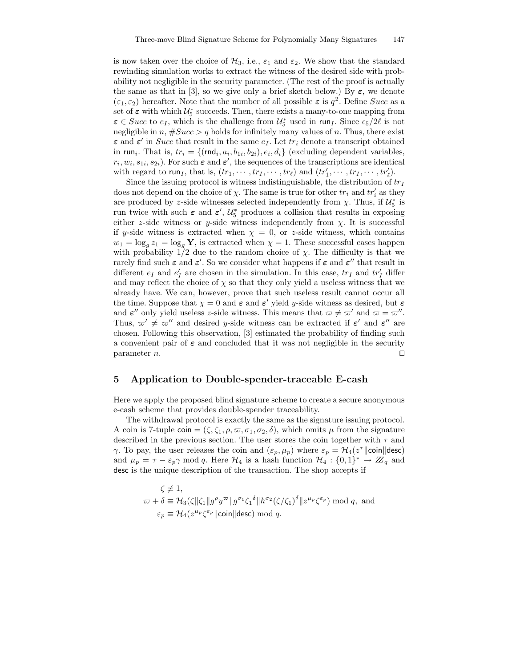is now taken over the choice of  $\mathcal{H}_3$ , i.e.,  $\varepsilon_1$  and  $\varepsilon_2$ . We show that the standard rewinding simulation works to extract the witness of the desired side with probability not negligible in the security parameter. (The rest of the proof is actually the same as that in [3], so we give only a brief sketch below.) By  $\varepsilon$ , we denote  $(\varepsilon_1, \varepsilon_2)$  hereafter. Note that the number of all possible  $\varepsilon$  is  $q^2$ . Define *Succ* as a set of  $\varepsilon$  with which  $\mathcal{U}_5^*$  succeeds. Then, there exists a many-to-one mapping from  $\varepsilon \in Succ$  to  $e_I$ , which is the challenge from  $\mathcal{U}_5^*$  used in run<sub>I</sub>. Since  $\epsilon_5/2\ell$  is not negligible in n,  $#Succ > q$  holds for infinitely many values of n. Thus, there exist  $\varepsilon$  and  $\varepsilon'$  in *Succ* that result in the same  $e_I$ . Let  $tr_i$  denote a transcript obtained in run<sub>i</sub>. That is,  $tr_i = \{ (rnd_i, a_i, b_{1i}, b_{2i}), e_i, d_i \}$  (excluding dependent variables,  $r_i, w_i, s_{1i}, s_{2i}$ ). For such  $\varepsilon$  and  $\varepsilon'$ , the sequences of the transcriptions are identical with regard to run<sub>I</sub>, that is,  $(tr_1, \dots, tr_I, \dots, tr_\ell)$  and  $(tr'_1, \dots, tr_I, \dots, tr'_\ell)$ .

Since the issuing protocol is witness indistinguishable, the distribution of  $tr_I$ does not depend on the choice of  $\chi$ . The same is true for other  $tr_i$  and  $tr'_i$  as they are produced by z-side witnesses selected independently from  $\chi$ . Thus, if  $\mathcal{U}_5^*$  is run twice with such  $\varepsilon$  and  $\varepsilon'$ ,  $\mathcal{U}_5^*$  produces a collision that results in exposing either z-side witness or y-side witness independently from  $\chi$ . It is successful if y-side witness is extracted when  $\chi = 0$ , or z-side witness, which contains  $w_1 = \log_g z_1 = \log_g Y$ , is extracted when  $\chi = 1$ . These successful cases happen with probability  $1/2$  due to the random choice of  $\chi$ . The difficulty is that we rarely find such  $\varepsilon$  and  $\varepsilon'$ . So we consider what happens if  $\varepsilon$  and  $\varepsilon''$  that result in different  $e_I$  and  $e'_I$  are chosen in the simulation. In this case,  $tr_I$  and  $tr'_I$  differ and may reflect the choice of  $\chi$  so that they only yield a useless witness that we already have. We can, however, prove that such useless result cannot occur all the time. Suppose that  $\chi = 0$  and  $\varepsilon$  and  $\varepsilon'$  yield *y*-side witness as desired, but  $\varepsilon$ and  $\varepsilon''$  only yield useless z-side witness. This means that  $\omega \neq \omega'$  and  $\omega = \omega''$ . Thus,  $\varpi' \neq \varpi''$  and desired y-side witness can be extracted if  $\varepsilon'$  and  $\varepsilon''$  are chosen. Following this observation, [3] estimated the probability of finding such a convenient pair of  $\varepsilon$  and concluded that it was not negligible in the security parameter *n*.

## 5 Application to Double-spender-traceable E-cash

Here we apply the proposed blind signature scheme to create a secure anonymous e-cash scheme that provides double-spender traceability.

The withdrawal protocol is exactly the same as the signature issuing protocol. A coin is 7-tuple coin =  $(\zeta, \zeta_1, \rho, \varpi, \sigma_1, \sigma_2, \delta)$ , which omits  $\mu$  from the signature described in the previous section. The user stores the coin together with  $\tau$  and  $\gamma$ . To pay, the user releases the coin and  $(\varepsilon_p, \mu_p)$  where  $\varepsilon_p = \mathcal{H}_4(z^{\tau}||\text{coin}||\text{desc})$ and  $\mu_p = \tau - \varepsilon_p \gamma \mod q$ . Here  $\mathcal{H}_4$  is a hash function  $\mathcal{H}_4 : \{0,1\}^* \to \mathbb{Z}_q$  and desc is the unique description of the transaction. The shop accepts if

$$
\zeta \not\equiv 1,
$$
  
\n
$$
\varpi + \delta \equiv \mathcal{H}_3(\zeta || \zeta_1 || g^{\rho} y^{\varpi} || g^{\sigma_1} \zeta_1^{\delta} || h^{\sigma_2} (\zeta / \zeta_1)^{\delta} || z^{\mu_p} \zeta^{\varepsilon_p}) \bmod q, \text{ and}
$$
  
\n
$$
\varepsilon_p \equiv \mathcal{H}_4(z^{\mu_p} \zeta^{\varepsilon_p} || \text{coin} || \text{desc}) \bmod q.
$$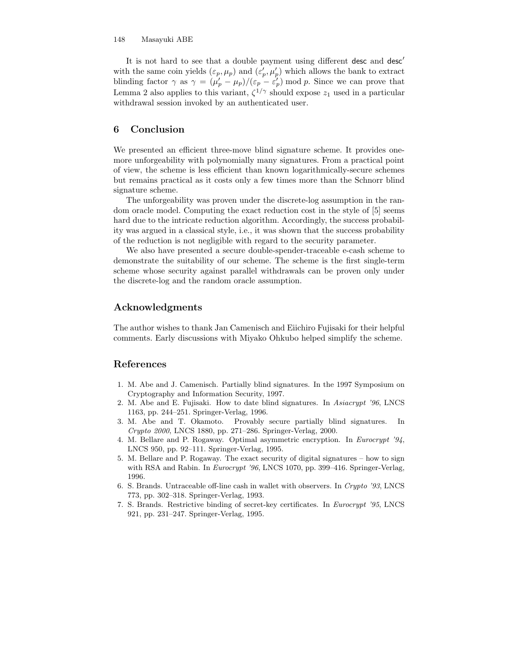It is not hard to see that a double payment using different desc and desc<sup>'</sup> with the same coin yields  $(\varepsilon_p, \mu_p)$  and  $(\varepsilon_p', \mu_p')$  which allows the bank to extract blinding factor  $\gamma$  as  $\gamma = (\mu_p' - \mu_p)/(\varepsilon_p - \varepsilon_p') \mod p$ . Since we can prove that Lemma 2 also applies to this variant,  $\zeta^{1/\gamma}$  should expose  $z_1$  used in a particular withdrawal session invoked by an authenticated user.

## 6 Conclusion

We presented an efficient three-move blind signature scheme. It provides onemore unforgeability with polynomially many signatures. From a practical point of view, the scheme is less efficient than known logarithmically-secure schemes but remains practical as it costs only a few times more than the Schnorr blind signature scheme.

The unforgeability was proven under the discrete-log assumption in the random oracle model. Computing the exact reduction cost in the style of [5] seems hard due to the intricate reduction algorithm. Accordingly, the success probability was argued in a classical style, i.e., it was shown that the success probability of the reduction is not negligible with regard to the security parameter.

We also have presented a secure double-spender-traceable e-cash scheme to demonstrate the suitability of our scheme. The scheme is the first single-term scheme whose security against parallel withdrawals can be proven only under the discrete-log and the random oracle assumption.

## Acknowledgments

The author wishes to thank Jan Camenisch and Eiichiro Fujisaki for their helpful comments. Early discussions with Miyako Ohkubo helped simplify the scheme.

## References

- 1. M. Abe and J. Camenisch. Partially blind signatures. In the 1997 Symposium on Cryptography and Information Security, 1997.
- 2. M. Abe and E. Fujisaki. How to date blind signatures. In Asiacrypt '96, LNCS 1163, pp. 244–251. Springer-Verlag, 1996.
- 3. M. Abe and T. Okamoto. Provably secure partially blind signatures. In Crypto 2000, LNCS 1880, pp. 271–286. Springer-Verlag, 2000.
- 4. M. Bellare and P. Rogaway. Optimal asymmetric encryption. In Eurocrypt '94, LNCS 950, pp. 92–111. Springer-Verlag, 1995.
- 5. M. Bellare and P. Rogaway. The exact security of digital signatures how to sign with RSA and Rabin. In *Eurocrypt '96*, LNCS 1070, pp. 399–416. Springer-Verlag, 1996.
- 6. S. Brands. Untraceable off-line cash in wallet with observers. In Crypto '93, LNCS 773, pp. 302–318. Springer-Verlag, 1993.
- 7. S. Brands. Restrictive binding of secret-key certificates. In Eurocrypt '95, LNCS 921, pp. 231–247. Springer-Verlag, 1995.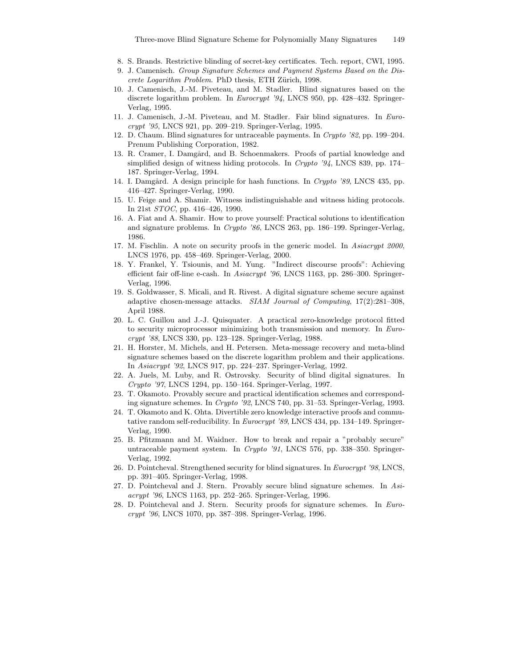- 8. S. Brands. Restrictive blinding of secret-key certificates. Tech. report, CWI, 1995.
- 9. J. Camenisch. Group Signature Schemes and Payment Systems Based on the Discrete Logarithm Problem. PhD thesis, ETH Zürich, 1998.
- 10. J. Camenisch, J.-M. Piveteau, and M. Stadler. Blind signatures based on the discrete logarithm problem. In Eurocrypt '94, LNCS 950, pp. 428–432. Springer-Verlag, 1995.
- 11. J. Camenisch, J.-M. Piveteau, and M. Stadler. Fair blind signatures. In Eurocrypt '95, LNCS 921, pp. 209–219. Springer-Verlag, 1995.
- 12. D. Chaum. Blind signatures for untraceable payments. In Crypto '82, pp. 199–204. Prenum Publishing Corporation, 1982.
- 13. R. Cramer, I. Damgård, and B. Schoenmakers. Proofs of partial knowledge and simplified design of witness hiding protocols. In Crypto '94, LNCS 839, pp. 174– 187. Springer-Verlag, 1994.
- 14. I. Damgård. A design principle for hash functions. In Crypto '89, LNCS 435, pp. 416–427. Springer-Verlag, 1990.
- 15. U. Feige and A. Shamir. Witness indistinguishable and witness hiding protocols. In 21st STOC, pp. 416–426, 1990.
- 16. A. Fiat and A. Shamir. How to prove yourself: Practical solutions to identification and signature problems. In Crypto '86, LNCS 263, pp. 186–199. Springer-Verlag, 1986.
- 17. M. Fischlin. A note on security proofs in the generic model. In Asiacrypt 2000, LNCS 1976, pp. 458–469. Springer-Verlag, 2000.
- 18. Y. Frankel, Y. Tsiounis, and M. Yung. "Indirect discourse proofs": Achieving efficient fair off-line e-cash. In Asiacrypt '96, LNCS 1163, pp. 286–300. Springer-Verlag, 1996.
- 19. S. Goldwasser, S. Micali, and R. Rivest. A digital signature scheme secure against adaptive chosen-message attacks. SIAM Journal of Computing, 17(2):281–308, April 1988.
- 20. L. C. Guillou and J.-J. Quisquater. A practical zero-knowledge protocol fitted to security microprocessor minimizing both transmission and memory. In Eurocrypt '88, LNCS 330, pp. 123–128. Springer-Verlag, 1988.
- 21. H. Horster, M. Michels, and H. Petersen. Meta-message recovery and meta-blind signature schemes based on the discrete logarithm problem and their applications. In Asiacrypt '92, LNCS 917, pp. 224–237. Springer-Verlag, 1992.
- 22. A. Juels, M. Luby, and R. Ostrovsky. Security of blind digital signatures. In Crypto '97, LNCS 1294, pp. 150–164. Springer-Verlag, 1997.
- 23. T. Okamoto. Provably secure and practical identification schemes and corresponding signature schemes. In Crypto '92, LNCS 740, pp. 31–53. Springer-Verlag, 1993.
- 24. T. Okamoto and K. Ohta. Divertible zero knowledge interactive proofs and commutative random self-reducibility. In Eurocrypt '89, LNCS 434, pp. 134–149. Springer-Verlag, 1990.
- 25. B. Pfitzmann and M. Waidner. How to break and repair a "probably secure" untraceable payment system. In Crypto '91, LNCS 576, pp. 338–350. Springer-Verlag, 1992.
- 26. D. Pointcheval. Strengthened security for blind signatures. In Eurocrypt '98, LNCS, pp. 391–405. Springer-Verlag, 1998.
- 27. D. Pointcheval and J. Stern. Provably secure blind signature schemes. In Asiacrypt '96, LNCS 1163, pp. 252–265. Springer-Verlag, 1996.
- 28. D. Pointcheval and J. Stern. Security proofs for signature schemes. In Eurocrypt '96, LNCS 1070, pp. 387–398. Springer-Verlag, 1996.